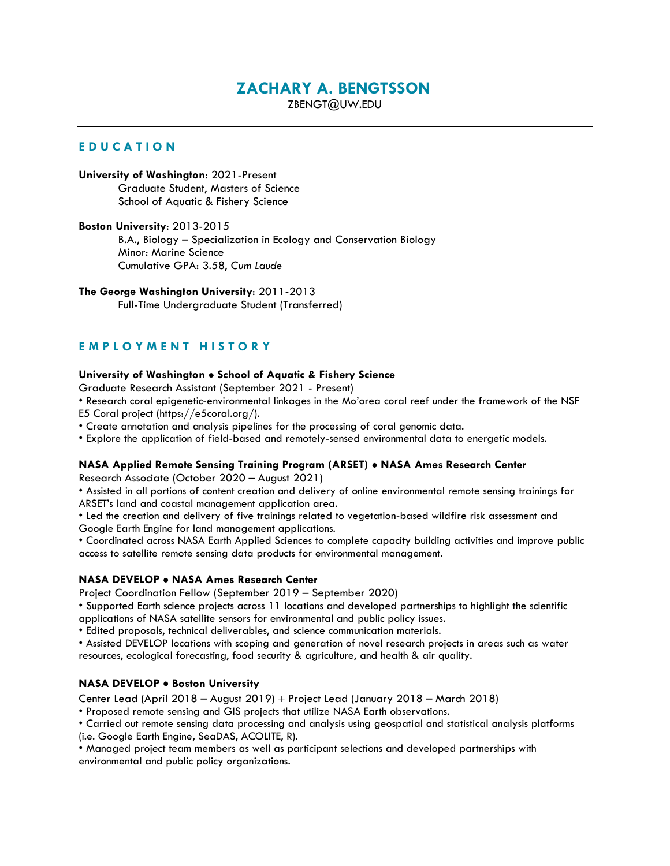# **ZACHARY A. BENGTSSON**

ZBENGT@UW.EDU

# **E D U C A T I O N**

**University of Washington**: 2021-Present Graduate Student, Masters of Science School of Aquatic & Fishery Science

**Boston University**: 2013-2015 B.A., Biology – Specialization in Ecology and Conservation Biology Minor: Marine Science Cumulative GPA: 3.58, *Cum Laude*

# **The George Washington University**: 2011-2013

Full-Time Undergraduate Student (Transferred)

# **E M P L O Y M E N T H I S T O R Y**

# **University of Washington** • **School of Aquatic & Fishery Science**

Graduate Research Assistant (September 2021 - Present)

• Research coral epigenetic-environmental linkages in the Mo'orea coral reef under the framework of the NSF E5 Coral project (https://e5coral.org/).

• Create annotation and analysis pipelines for the processing of coral genomic data.

• Explore the application of field-based and remotely-sensed environmental data to energetic models.

# **NASA Applied Remote Sensing Training Program (ARSET)** • **NASA Ames Research Center**

Research Associate (October 2020 – August 2021)

• Assisted in all portions of content creation and delivery of online environmental remote sensing trainings for ARSET's land and coastal management application area.

• Led the creation and delivery of five trainings related to vegetation-based wildfire risk assessment and Google Earth Engine for land management applications.

• Coordinated across NASA Earth Applied Sciences to complete capacity building activities and improve public

access to satellite remote sensing data products for environmental management.

# **NASA DEVELOP** • **NASA Ames Research Center**

Project Coordination Fellow (September 2019 – September 2020)

• Supported Earth science projects across 11 locations and developed partnerships to highlight the scientific applications of NASA satellite sensors for environmental and public policy issues.

• Edited proposals, technical deliverables, and science communication materials.

• Assisted DEVELOP locations with scoping and generation of novel research projects in areas such as water resources, ecological forecasting, food security & agriculture, and health & air quality.

# **NASA DEVELOP** • **Boston University**

Center Lead (April 2018 – August 2019) + Project Lead (January 2018 – March 2018)

• Proposed remote sensing and GIS projects that utilize NASA Earth observations.

• Carried out remote sensing data processing and analysis using geospatial and statistical analysis platforms (i.e. Google Earth Engine, SeaDAS, ACOLITE, R).

• Managed project team members as well as participant selections and developed partnerships with environmental and public policy organizations.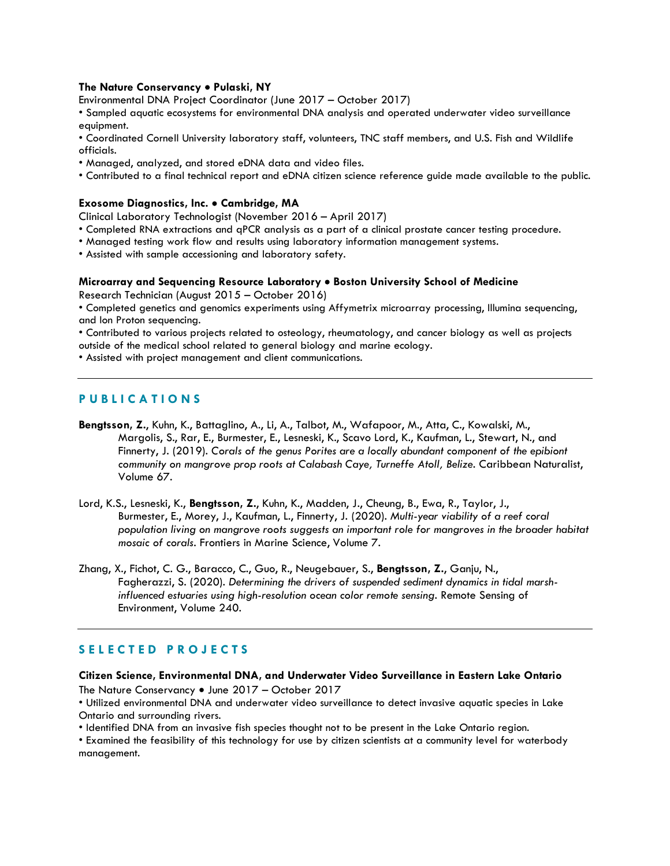#### **The Nature Conservancy** • **Pulaski, NY**

Environmental DNA Project Coordinator (June 2017 – October 2017)

• Sampled aquatic ecosystems for environmental DNA analysis and operated underwater video surveillance equipment.

• Coordinated Cornell University laboratory staff, volunteers, TNC staff members, and U.S. Fish and Wildlife officials.

- Managed, analyzed, and stored eDNA data and video files.
- Contributed to a final technical report and eDNA citizen science reference guide made available to the public.

#### **Exosome Diagnostics, Inc.** • **Cambridge, MA**

Clinical Laboratory Technologist (November 2016 – April 2017)

- Completed RNA extractions and qPCR analysis as a part of a clinical prostate cancer testing procedure.
- Managed testing work flow and results using laboratory information management systems.
- Assisted with sample accessioning and laboratory safety.

#### **Microarray and Sequencing Resource Laboratory** • **Boston University School of Medicine**

Research Technician (August 2015 – October 2016)

• Completed genetics and genomics experiments using Affymetrix microarray processing, Illumina sequencing, and Ion Proton sequencing.

• Contributed to various projects related to osteology, rheumatology, and cancer biology as well as projects

outside of the medical school related to general biology and marine ecology.

• Assisted with project management and client communications.

# **P U B L I C A T I O N S**

- **Bengtsson, Z.**, Kuhn, K., Battaglino, A., Li, A., Talbot, M., Wafapoor, M., Atta, C., Kowalski, M., Margolis, S., Rar, E., Burmester, E., Lesneski, K., Scavo Lord, K., Kaufman, L., Stewart, N., and Finnerty, J. (2019). *Corals of the genus Porites are a locally abundant component of the epibiont community on mangrove prop roots at Calabash Caye, Turneffe Atoll, Belize*. Caribbean Naturalist, Volume 67.
- Lord, K.S., Lesneski, K., **Bengtsson, Z.**, Kuhn, K., Madden, J., Cheung, B., Ewa, R., Taylor, J., Burmester, E., Morey, J., Kaufman, L., Finnerty, J. (2020). *Multi-year viability of a reef coral population living on mangrove roots suggests an important role for mangroves in the broader habitat mosaic of corals*. Frontiers in Marine Science, Volume 7.
- Zhang, X., Fichot, C. G., Baracco, C., Guo, R., Neugebauer, S., **Bengtsson, Z.**, Ganju, N., Fagherazzi, S. (2020). *Determining the drivers of suspended sediment dynamics in tidal marshinfluenced estuaries using high-resolution ocean color remote sensing*. Remote Sensing of Environment, Volume 240.

# **S E L E C T E D P R O J E C T S**

#### **Citizen Science, Environmental DNA, and Underwater Video Surveillance in Eastern Lake Ontario**

The Nature Conservancy • June 2017 – October 2017

• Utilized environmental DNA and underwater video surveillance to detect invasive aquatic species in Lake Ontario and surrounding rivers.

• Identified DNA from an invasive fish species thought not to be present in the Lake Ontario region.

• Examined the feasibility of this technology for use by citizen scientists at a community level for waterbody management.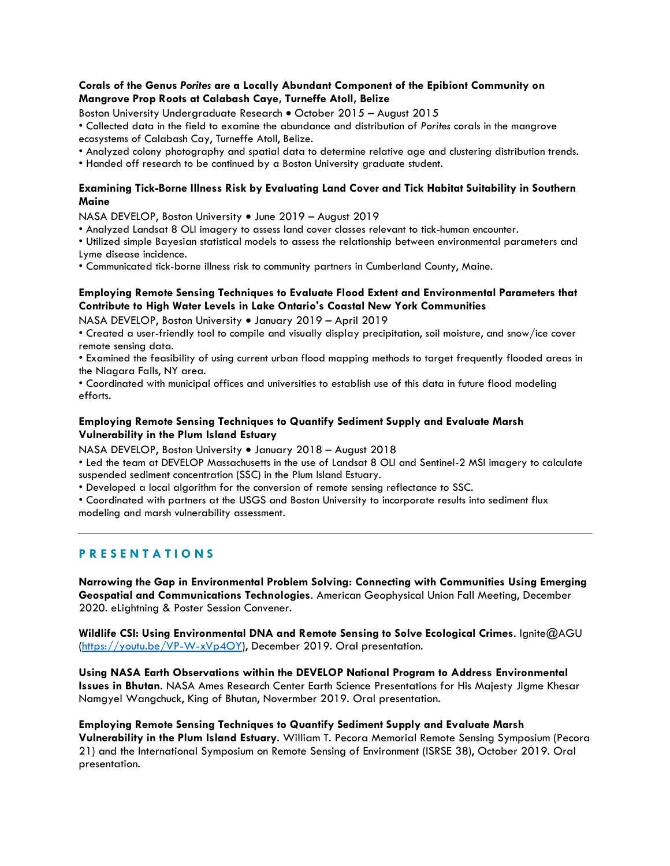# **Corals of the Genus** *Porites* **are a Locally Abundant Component of the Epibiont Community on Mangrove Prop Roots at Calabash Caye, Turneffe Atoll, Belize**

Boston University Undergraduate Research • October 2015 – August 2015

• Collected data in the field to examine the abundance and distribution of *Porites* corals in the mangrove ecosystems of Calabash Cay, Turneffe Atoll, Belize.

• Analyzed colony photography and spatial data to determine relative age and clustering distribution trends.

• Handed off research to be continued by a Boston University graduate student.

# **Examining Tick-Borne Illness Risk by Evaluating Land Cover and Tick Habitat Suitability in Southern Maine**

NASA DEVELOP, Boston University • June 2019 – August 2019

• Analyzed Landsat 8 OLI imagery to assess land cover classes relevant to tick-human encounter.

• Utilized simple Bayesian statistical models to assess the relationship between environmental parameters and Lyme disease incidence.

• Communicated tick-borne illness risk to community partners in Cumberland County, Maine.

# **Employing Remote Sensing Techniques to Evaluate Flood Extent and Environmental Parameters that Contribute to High Water Levels in Lake Ontario's Coastal New York Communities**

NASA DEVELOP, Boston University • January 2019 – April 2019

• Created a user-friendly tool to compile and visually display precipitation, soil moisture, and snow/ice cover remote sensing data.

• Examined the feasibility of using current urban flood mapping methods to target frequently flooded areas in the Niagara Falls, NY area.

• Coordinated with municipal offices and universities to establish use of this data in future flood modeling efforts.

# **Employing Remote Sensing Techniques to Quantify Sediment Supply and Evaluate Marsh Vulnerability in the Plum Island Estuary**

NASA DEVELOP, Boston University • January 2018 – August 2018

• Led the team at DEVELOP Massachusetts in the use of Landsat 8 OLI and Sentinel-2 MSI imagery to calculate suspended sediment concentration (SSC) in the Plum Island Estuary.

• Developed a local algorithm for the conversion of remote sensing reflectance to SSC.

• Coordinated with partners at the USGS and Boston University to incorporate results into sediment flux modeling and marsh vulnerability assessment.

# **P R E S E N T A T I O N S**

**Narrowing the Gap in Environmental Problem Solving: Connecting with Communities Using Emerging Geospatial and Communications Technologies**. American Geophysical Union Fall Meeting, December 2020. eLightning & Poster Session Convener.

**Wildlife CSI: Using Environmental DNA and Remote Sensing to Solve Ecological Crimes**. Ignite@AGU [\(https://youtu.be/VP-W-xVp4OY\)](https://youtu.be/VP-W-xVp4OY), December 2019. Oral presentation.

**Using NASA Earth Observations within the DEVELOP National Program to Address Environmental Issues in Bhutan**. NASA Ames Research Center Earth Science Presentations for His Majesty Jigme Khesar Namgyel Wangchuck, King of Bhutan, Novermber 2019. Oral presentation.

# **Employing Remote Sensing Techniques to Quantify Sediment Supply and Evaluate Marsh**

**Vulnerability in the Plum Island Estuary**. William T. Pecora Memorial Remote Sensing Symposium (Pecora 21) and the International Symposium on Remote Sensing of Environment (ISRSE 38), October 2019. Oral presentation.